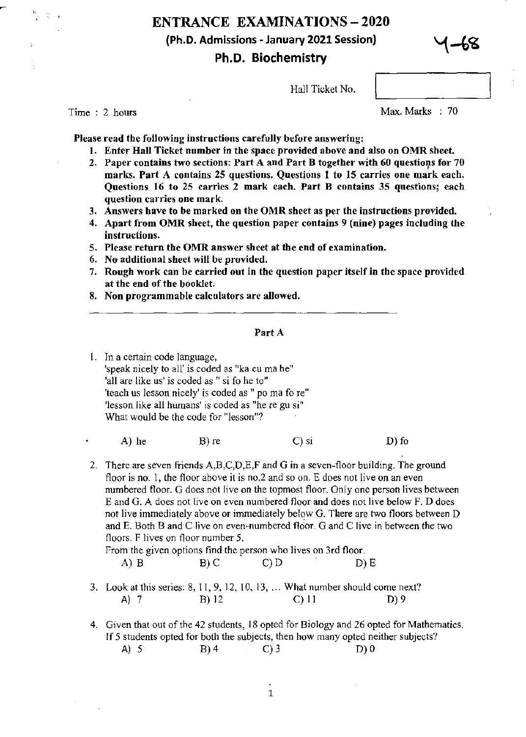# ENTRANCE EXAMINATIONS - 2020 (Ph.D. Admissions - January 2021 Session) Ph.D. Biochemistry



Hall Ticket No.

Time : 2 hours

Max. Marks : 70

Please read the following instructions carefully before answering:

- 1. Enter Hall Ticket number in the space provided above and also on OMR sheet.
- 2. Paper contains two sections: Part A and Part B together with  $60$  questions for 70 marks. Part A contains 25 questions. Questions 1 to 15 carries one mark each. Questions 16 to 25 carries 2 mark each. Part B contains 35 questions; each question carries one mark.
- 3. Answers have to be marked on the OMR sheet as per the instructions provided.
- 4. Apart from OMR sheet, the question paper contains 9 (nine) pages including the instructions.
- S. Please return the OMR answer sheet at the end of examination.
- 6. No additional sheet will be provided.
- 7. Rough work can be carried out in the question paper itself in the space provided at the end of the booklet.
- 8. Non programmable calculators are allowed.

#### Part A

- 1. In a certain code language, 'speak nicely to all' is coded as "ka cu ma he" 'all are like us' is coded as " si fo he to" 'teach us lesson nicely' is coded as " po ma fo re" 'lesson like all humans' is coded as "he re gu si" What would be the code for "lesson"?
	- A) he B) re C) si D) fo
- 2. There are seven friends A,B,C,D,E,F and G in a seven-floor building. The ground floor is no. 1, the floor above it is no.  $2$  and so on. E does not live on an even numbered floor. G does not live on the topmost floor. Only one person lives between E and G. A does not live on even numbered floor and does not live below F. D does not live immediately above or immediately below G. There are two floors between D and E. Both B and C live on even-numbered floor. G and C live in between the two floors. F lives on floor number 5.

## From the given options find the person who lives on 3rd floor.

- A) B B) C C) D D) E
- 3. Look at this series:  $8, 11, 9, 12, 10, 13, \ldots$  What number should come next? A) 7 B) 12 C) 11 D) 9
- 4. Given that out of the 42 students, 18 opted for Biology and 26 opted for Mathematics. If 5 students opted for both the subjects, then how many opted neither subjects? A) 5 B) 4 C) 3 D) 0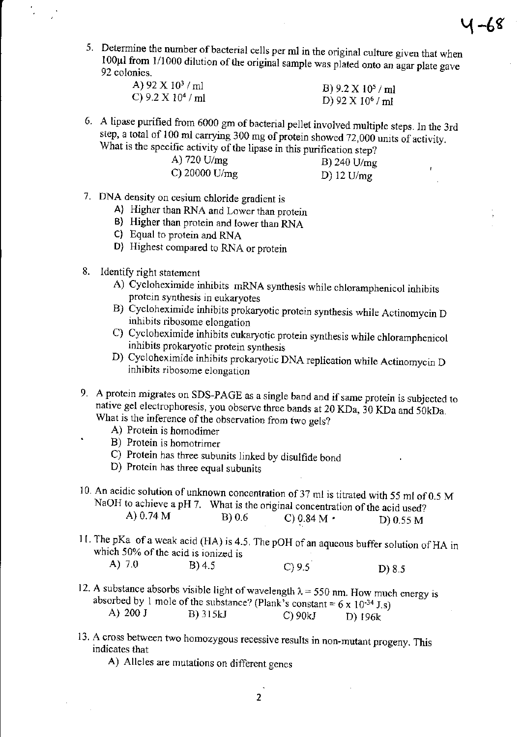5. Determine the number of bacterial cells per ml in the original culture given that when 100 $\mu$ l from 1/1000 dilution of the original sample was plated onto an agar plate gave 92 colonies.

| A) 92 X $10^3$ / ml  | B) $9.2 \times 10^5$ / ml |
|----------------------|---------------------------|
| C) 9.2 X $10^4$ / ml | D) 92 X $10^6$ / ml       |

6. A lipase purified from 6000 gm of bacterial pellet involved multiple steps. In the 3rd step, a total of 100 ml carrying 300 mg of protein showed 72,000 units of activity. What is the specific activity of the lipase in this purification step?

| A) $720 \text{ U/mg}$   | B) 240 $U/mg$ |
|-------------------------|---------------|
| C) 20000 U/ $_{\rm mg}$ | D) 12 $U/mg$  |

- 7. DNA density on cesium chloride gradient is
	- A) Higher than RNA and Lower than protein
	- B) Higher than protein and lower than RNA
	- C) Equal to protein and RNA
	- 0) Highest compared to RNA or protein
- 8. Identify right statement
	- A) Cycloheximide inhibits mRNA synthesis while chloramphenicol inhibits protein synthesis in eukaryotes
	- B) Cycloheximide inhibits prokaryotic protein synthesis while Actinomycin D inhibits ribosome elongation
	- C) Cycloheximide inhibits eukaryotic protein synthesis while chloramphenicol inhibits prokaryotic protein synthesis
	- D) Cycloheximide inhibits prokaryotic DNA replication while Actinomycin D inhibits ribosome elongation
- 9. A protein migrates on SDS-PAGE as a single band and if same protein is subjected to native gel electrophoresis, you observe three bands at 20 KDa, 30 KDa and 50kDa. What is the inference of the observation from two gels?
	- A) Protein is homodimer
	- B) Protein is homotrimer
	- $\overrightarrow{C}$ ) Protein has three subunits linked by disulfide bond
	- D) Protein has three equal subunits

10. An acidic solution of unknown concentration of37 ml is titrated with 55 ml of 0.5 M NaOH to achieve a pH 7. What is the original concentration of the acid used?<br>A) 0.74 M B) 0.6 C) 0.84 M · D) 0.55 M B) 0.6 C) 0.84 M • D) 0.55 M

- 11. The pKa of a weak acid (HA) is 4.5. The pOH of an aqueous buffer solution ofHA in which 50% of the acid is ionized is<br>A)  $7.0$  B) 4.5 A) 7.0 B) 4.5 C) 9.5 D) 8.5
- 12. A substance absorbs visible light of wavelength  $\lambda = 550$  nm. How much energy is absorbed by 1 mole of the substance? (Plank's constant = 6 x 10<sup>-34</sup> J.s)<br>A) 200 J B) 315kJ C) 90kJ D) 195k B) 315kJ C) 90kJ D) 196k
- 13. A cross between two homozygous recessive results in non-mutant progeny. This indicates that

A) Alleles are mutations on different genes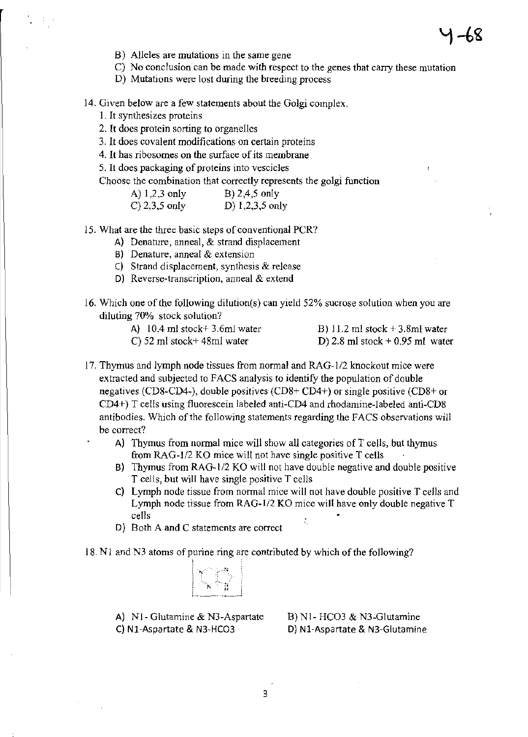$\mathbf{r}$ 

- B) Alleles are mutations in the same gene
- C) No conclusion can be made with respect to the genes that carry these mutation
- D) Mutations were lost during the breeding process
- 14. Given below are a few statements about the Golgi complex.
	- 1. It synthesizes proteins
	- 2. It does protein sorting to organelles
	- 3. It does covalent modifications on certain proteins
	- 4. It has ribosomes on the surface of its membrane
	- 5. It does packaging of proteins into vescicles
	- Choose the combination that correctly represents the golgi function

| A) $1,2,3$ only  | B) $2,4,5$ only   |
|------------------|-------------------|
| $C$ ) 2,3,5 only | D) $1,2,3,5$ only |

- IS. What are the three basic steps of conventional PCR?
	- A) Denature, anneal, & strand displacement
	- B) Denature, anneal & extension
	- C) Strand displacement, synthesis & release
	- D) Reverse-transcription, anneal & extend
- 16. Which one of the following dilution(s) can yield 52% sucrose solution when you are diluting 70% stock solution?
	- A) lOA ml stock+ 3.6ml water B) 11.2 ml stock + 3.8ml water
	- C) 52 ml stock+ 48ml water
- D) 2.8 ml stock + 0.95 ml water
- 
- 17. Thymus and lymph node tissues from normal and RAG-112 knockout mice were extracted and subjected to FACS analysis to identify the population of double negatives (CD8-CD4-), double positives (CD8+ CD4+) or single positive (CD8+ or CD4+) T cells using fluorescein labeled anti-CD4 and rhodamine-labeled anti-CD8 antibodies. Which of the following statements regarding the FACS observations will be correct?
	- A) Thymus from normal mice will show all categories of T cells, but thymus from RAG-1/2 KO mice will not have single positive T cells
	- B) Thymus from RAG-1/2 KO will not have double negative and double positive T cells, but will have single positive T cells
	- C) Lymph node tissue from normal mice will not have double positive T cells and Lymph node tissue from RAG-I/2 KO mice will have only double negative T cells
	- D) Both A and C statements are correct
- 18. N1 and N3 atoms of purine ring are contributed by which of the following?

| N      |  |
|--------|--|
|        |  |
|        |  |
| n      |  |
|        |  |
|        |  |
|        |  |
|        |  |
|        |  |
|        |  |
|        |  |
| À<br>N |  |
|        |  |
|        |  |
|        |  |
|        |  |
|        |  |
|        |  |
|        |  |
|        |  |

A) Nl- Glutamine & N3-Aspartate C) NI-Aspartate & N3-HC03

B) NI- HC03 & N3-Glutamine D} Nl-Aspartate & N3-Glutamine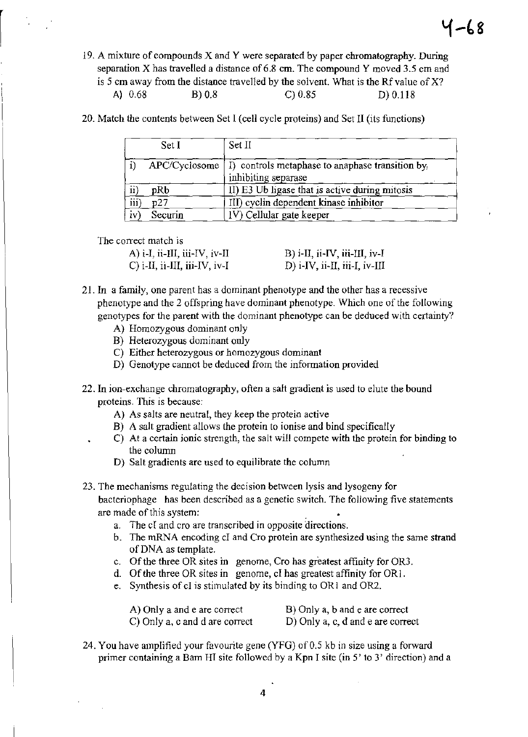- 19. A mixture of compounds X and Y were separated by paper chromatography. During separation  $X$  has travelled a distance of 6.8 cm. The compound  $Y$  moved 3.5 cm and is 5 cm away from the distance travelled by the solvent. What is the Rf value of  $X$ ? A) 0.68 B) 0.8 C) 0.85 D) 0.118
- 20. Match the contents between Set I (cell cycle proteins) and Set II (its functions)

|                 | Set I         | Set II                                                                 |
|-----------------|---------------|------------------------------------------------------------------------|
|                 | APC/Cyclosome | I) controls metaphase to anaphase transition by<br>inhibiting separase |
| $\overline{ii}$ | pRb           | II) E3 Ub ligase that is active during mitosis                         |
| iii)            | p27           | III) cyclin dependent kinase inhibitor                                 |
| iv              | Securin       | IV) Cellular gate keeper                                               |

The correct match is

| A) $i$ -I, $ii$ -III, $iii$ -IV, $iv$ -II | B) i-II, ii-IV, iii-III, iv-I |
|-------------------------------------------|-------------------------------|
| $C$ ) i-II, ii-III, iii-IV, iv-I          | D) i-IV, ii-II, iii-I, iv-III |

- 21. In a family, one parent has a dominant phenotype and the other has a recessive phenotype and the 2 offspring have dominant phenotype. Which one of the following genotypes for the parent with the dominant phenotype can be deduced with certainty?
	- A) Homozygous dominant only
	- B) Heterozygous dominant only
	- C) Either heterozygous or homozygous dominant
	- D) Genotype cannot be deduced from the information provided
- 22. In ion-exchange chromatography, often a salt gradient is used to elute the bound proteins. This is because:
	- A) As salts are neutral, they keep the protein active
	- B) A salt gradient allows the protein to ionise and bind specifically
	- C) At a certain ionic strength, the salt will compete with the protein for binding to the column
	- D) Salt gradients are used to equilibrate the column
- 23. The mechanisms regulating the decision between lysis and lysogeny for bacteriophage has been described as a genetic switch. The following five statements are made of this system: .
	- a. The cI and cro are transcribed in opposite directions.
	- b. The mRNA encoding cI and Cro protein are synthesized using the same strand of DNA as template.
	- c. Of the three OR sites in genome, Cro has greatest affinity for OR3.
	- d. Of the three OR sites in genome, cI has greatest affinity for ORI.
	- e. Synthesis of cI is stimulated by its binding to OR 1 and OR2.

| A) Only a and e are correct    | B) Only a, b and e are correct    |
|--------------------------------|-----------------------------------|
| C) Only a, c and d are correct | D) Only a, c, d and e are correct |

24. You have amplified your favourite gene (YFG) of 0.5 kb in size using a forward primer containing a Bam HI site followed by a Kpn I site (in 5' to 3' direction) and a

4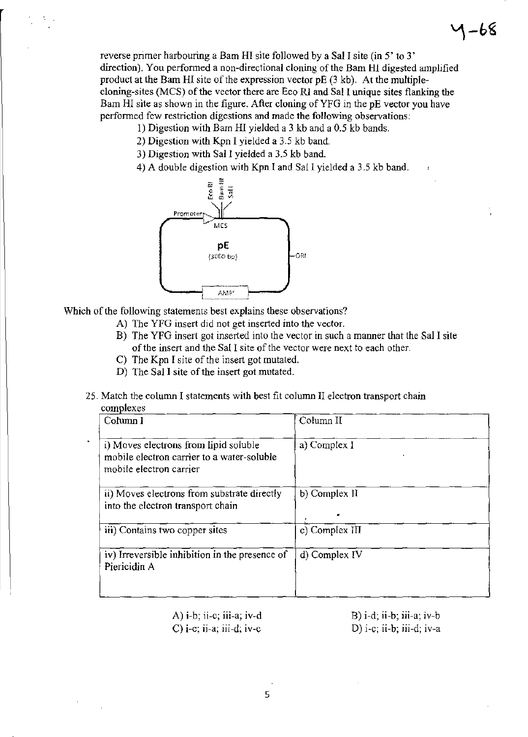reverse primer harbouring a Bam **HI** site followed by a Sal I site (in 5' to 3' direction). You performed a non-directional cloning of the Bam **HI** digested amplified product at the Bam HI site of the expression vector pE (3 kb). At the multiplecloning-sites (MCS) of the vector there are Eco Rl and Sal I unique sites flanking the Bam HI site as shown in the figure. After cloning of YFG in the pE vector you have performed few restriction digestions and made the following observations;

- 1) Digestion with Bam HI yielded a 3 kb and a 0.5 kb bands.
- 2) Digestion with Kpn I yielded a 3.5 kb band.
- 3) Digestion with Sal I yielded a 3.5 kb band.
- 4) A double digestion with Kpn I and SaIl yielded a 3.5 kb band.



Which of the following statements best explains these observations?

- A) The YFG insert did not get inserted into the vector.
- B) The YFG insert got inserted into the vector in such a manner that the Sal I site of the insert and the Sal I site of the vector were next to each other.
- C) The Kpn I site of the insert got mutated.
- D) The Sal I site of the insert got mutated.
- 25. Match the column I statements with best fit column II electron transport chain complexes

| Column I                                                                                                       | Column II      |  |  |
|----------------------------------------------------------------------------------------------------------------|----------------|--|--|
| i) Moves electrons from lipid soluble<br>mobile electron carrier to a water-soluble<br>mobile electron carrier | a) Complex I   |  |  |
| ii) Moves electrons from substrate directly<br>into the electron transport chain                               | b) Complex II  |  |  |
| iii) Contains two copper sites                                                                                 | c) Complex III |  |  |
| iv) Irreversible inhibition in the presence of<br>Piericidin A                                                 | d) Complex IV  |  |  |
|                                                                                                                |                |  |  |

A) i-b; ii-c; iii-a; iv-d C) i-c; ii-a; iii-d; iv-c

 $B$ ) i-d; ii-b; iii-a; iv-b D) i-e; ii-b; iii-d; iv-a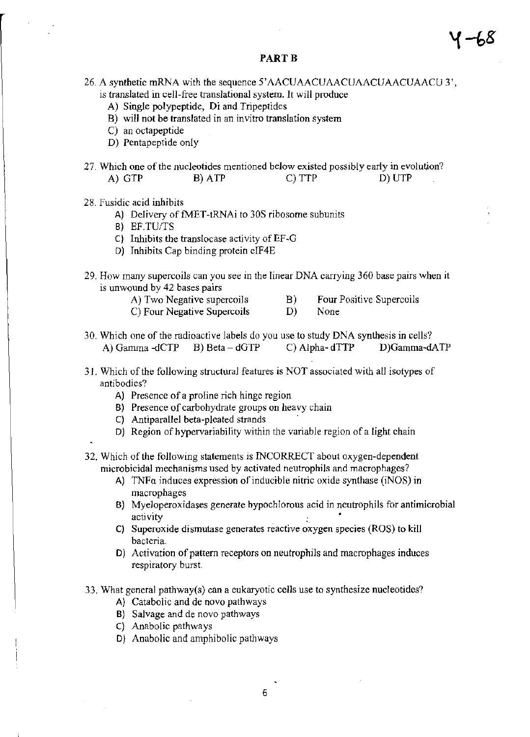### PART<sub>B</sub>

- 
- 26. A synthetic mRNA with the sequence 5'AACUAACUAACUAACUAACUAACU 3',
	- is translated in cell-free translational system. It will produce
		- A) Single polypeptide, Di and Tripeptides
		- B) will not be translated in an invitro translation system
		- C) an octapeptide
		- D) Pentapeptide only
- 27. Which one of the nucleotides mentioned below existed possibly early in evolution? A) GTP B) ATP C) TTP D) UTP
- 28. Fusidic acid inhibits
	- A) Delivery of fMET -tRNAi to 30S ribosome subunits
	- B) *EF.TU/TS*
	- $C$ ) Inhibits the translocase activity of EF-G
	- D) Inhibits Cap binding protein elF4E
- 29. How many supercoils can you see in the linear DNA carrying 360 base pairs when it is unwound by 42 bases pairs
	- A) Two Negative supercoils B) Four Positive Supercoils
	- C) Four Negative Supercoils D) None
- 30. Which one of the radioactive labels do you use to study DNA synthesis in cells? A) Gamma -dCTP B) Beta - dGTP C) Alpha- dTTP D)Gamma-dATP
- 31. Which of the following structural features is NOT associated with all isotypes of antibodies?
	- A) Presence of a proline rich hinge region
	- B) Presence of carbohydrate groups on heavy chain
	- C) Antiparallel beta-pleated strands .
	- $D$ ) Region of hypervariability within the variable region of a light chain
- 32. Which of the following statements is INCORRECT about oxygen-dependent microbicidal mechanisms used by activated neutrophils and macrophages?
	- A) TNFa induces expression of inducible nitric oxide synthase (iNOS) in macrophages
	- B) MyeJoperoxidases generate hypochlorous acid in neutrophils for antimicrobial activity
	- C) Superoxide dismutase generates reactive oxygen species (ROS) to kill bacteria.
	- D) Activation of pattern receptors on neutrophils and macrophages induces respiratory burst.

33. What general pathway(s) can a eukaryotic cells use to synthesize nucleotides?

- A) Catabolic and de novo pathways
- B) Salvage and de novo pathways
- C) Anabolic pathways
- D) Anabolic and amphibolic pathways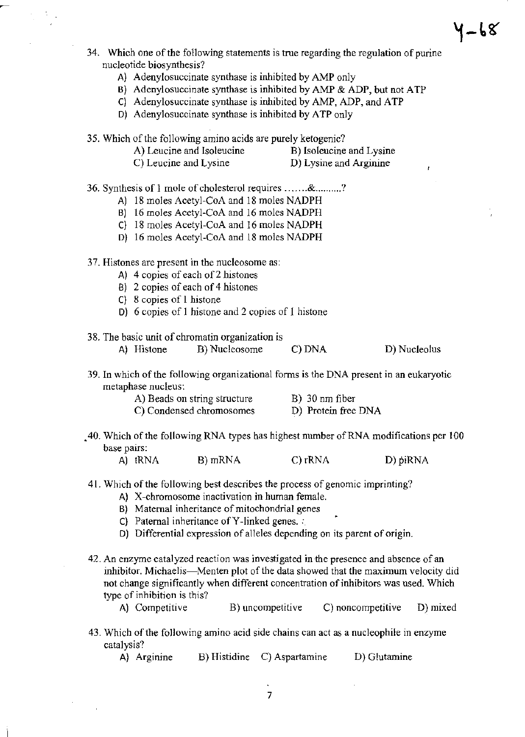- 34. Which one of the following statements is true regarding the regulation of purine nucleotide biosynthesis?
	- A) Adenylosuccinate synthase is inhibited by AMP only
	- B) Adenylosuccinate synthase is inhibited by AMP & ADP, but not ATP
	- C) Adenylosuccinate synthase is inhibited by AMP, ADP, and ATP
	- D) Adenylosuccinate synthase is inhibited by ATP only

35. Which of the following amino acids are purely ketogenic?

- A) Leucine and Isoleucine B) Isoleucine and Lysine
- C) Leucine and Lysine **D**) Lysine and Arginine

- 36. Synthesis of 1 mole of cholesterol requires ....... & .......... ?
	- A] 18 moles Acetyl-CoA and 18 moles NADPH
	- BI 16 moles Acetyl-CoA and 16 moles NADPH
	- C) 18 moles Acetyl-CoA and 16 moles NADPH
	- D) 16 moles Acetyl-CoA and 18 moles NADPH
- 37. Histones are present in the nucleosome as:
	- A) 4 copies of each of 2 histones
	- B) 2 copies of each of 4 histones
	- C) 8 copies of 1 histone
	- D) 6 copies of 1 histone and 2 copies of J histone
- 38. The basic unit of chromatin organization is
	- A) Histone B) Nucleosome C) DNA D) Nucleolus
		-
- 39. In which of the following organizational forms is the DNA present in an eukaryotic metaphase nucleus:

| A) Beads on string structure | $B)$ 30 nm fiber    |
|------------------------------|---------------------|
| C) Condensed chromosomes     | D) Protein free DNA |

- .40. Which of the following RNA types has highest number of RNA modifications per 100 base pairs:
	- A) tRNA B) mRNA C) rRNA D) piRNA
- 41. Which of the following best describes the process of genomic imprinting?
	- A) X-chromosome inactivation in human female.
	- B) Maternal inheritance of mitochondrial genes
	- C) Paternal inheritance of Y-linked genes. :
	- D) Differential expression of alleles depending on its parent of origin.
- 42. An enzyme catalyzed reaction was investigated in the presence and absence of an inhibitor. Michaelis—Menten plot of the data showed that the maximum velocity did not change significantly when different concentration of inhibitors was used. Which type of inhibition is this?
	- A) Competitive B) uncompetitive C) noncompetitive D) mixed
- 43. Which of the following amino acid side chains can act as a nucleophile in enzyme catalysis?

|  | A) Arginine | B) Histidine | C) Aspartamine | D) Glutamine |
|--|-------------|--------------|----------------|--------------|
|--|-------------|--------------|----------------|--------------|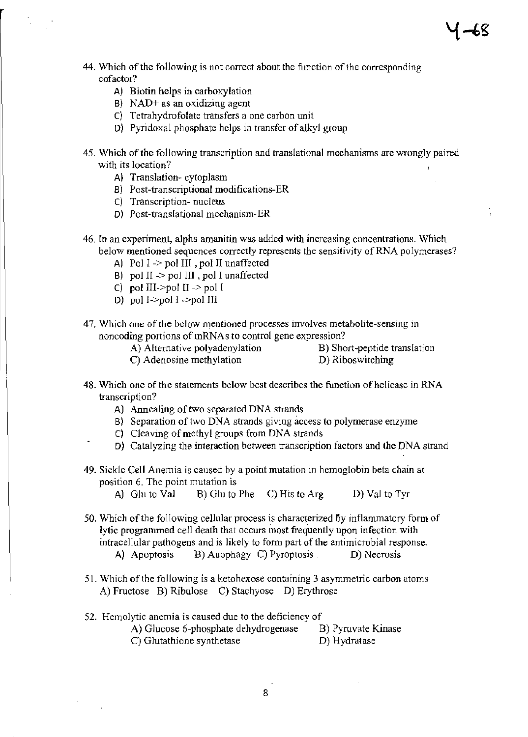- 44. Which of the following is not correct about the function of the corresponding cofactor?
	- A) Biotin helps in carboxylation
	- B) NAD+ as an oxidizing agent
	- C) Tetrahydrofolate transfers a one carbon unit
	- 0) Pyridoxal phosphate helps in transfer of alkyl group
- 45. Which of the following transcription and translational mechanisms are wrongly paired with its location?
	- A) Translation- cytoplasm
	- B) Post-transcriptional modifications-ER
	- C) Transcription- nucleus
	- 0) Post-translational mechanism-ER
- 46. In an experiment, alpha amanitin was added with increasing concentrations. Which below mentioned sequences correctly represents the sensitivity of RNA polymerases?
	- A) Pol  $I \rightarrow$  pol III, pol II unaffected
	- B) pol  $II \rightarrow$  pol III, pol I unaffected
	- c) pol III- $\text{Ppol II} \rightarrow \text{pol I}$
	- DI pol I->pol I ->pol III
- 47. Which one of the below mentioned processes involves metabolite-sensing in noncoding portions of mRNAs to control gene expression?
	- A) Alternative polyadenylation B) Short-peptide translation

C) Adenosine methylation D) Riboswitching

- 48. Which one of the statements below best describes the function of helicase in RNA transcription?
	- A) Annealing of two separated DNA strands
	- B) Separation of two DNA strands giving access to polymerase enzyme
	- C) Cleaving of methyl groups from DNA strands
	- 0) Catalyzing the interaction between transcription factors and the DNA strand
- 49. Sickle Cell Anemia is caused by a point mutation in hemoglobin beta chain at position 6. The point mutation is
	- A) Glu to Val  $B$ ) Glu to Phe C) His to Arg D) Val to Tyr
- 50. Which of the following cellular process is characterized 6y inflammatory form of lytic programmed cell death that occurs most frequently upon infection with intracellular pathogens and is likely to form part of the antimicrobial response. A) Apoptosis B) Auophagy C) Pyroptosis D) Necrosis
- 51. Which of the following is a ketohexose containing 3 asymmetric carbon atoms A) Fructose B) Ribulose C) Stachyose D) Erythrose
- 52. Hemolytic anemia is caused due to the deficiency of
	- A) Glucose 6-phosphate dehydrogenase B) Pyruvate Kinase C) Glutathione synthetase D) Hydratase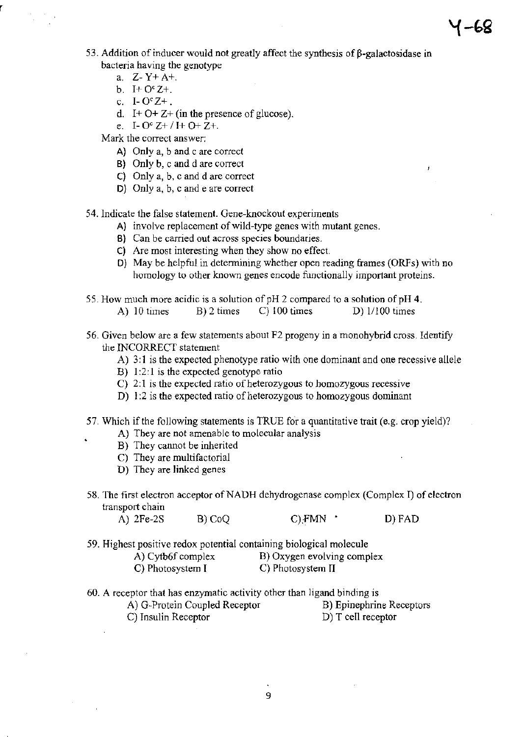- 53. Addition of inducer would not greatly affect the synthesis of  $\beta$ -galactosidase in bacteria having the genotype
	- a. Z- Y+ A+.
	- b.  $I+O^cZ+$ .
	- c. I-  $O^c Z^+$ .
	- d. I +  $O+Z+$  (in the presence of glucose).
	- e. I-  $O^c Z + / I + O + Z +$ .

Mark the correct answer;

- A) Only a, band c are correct
- B) Only b, c and d are correct
- C) Only a, b, c and d are correct
- 0) Only a, b, c and e are correct
- 54. Indicate the false statement. Gene-knockout experiments
	- A) involve replacement of wild-type genes with mutant genes.
	- B) Can be carried out across species boundaries.
	- C) Are most interesting when they show no effect.
	- 0) May be helpful in determining whether open reading frames (ORFs) with no homology to other known genes encode functionally important proteins.
- 55. How much more acidic is a solution of pH 2 compared to a solution of pH 4.
	- A) 10 times B) 2 times C) 100 times D) 1/100 times
- 56. Given below are a few statements about F2 progeny in a monohybrid cross. Identify the INCORRECT statement
	- A) 3:1 is the expected phenotype ratio with one dominant and one recessive allele
	- B) 1:2:1 is the expected genotype ratio
	- C) 2: 1 is the expected ratio of heterozygous to homozygous recessive
	- D) 1:2 is the expected ratio of heterozygous to homozygous dominant
- 57. Which if the following statements is TRUE for a quantitative trait (e.g. crop yield)?
	- A) They are not amenable to molecular analysis
	- B) They cannot be inherited
	- C) They are multifactorial
	- D) They are linked genes
- 58. The first electron acceptor of NADH dehydrogenase complex (Complex I) of electron transport chain

A) 2Fe-2S B) CoQ C):FMN • D) FAD

59. Highest positive redox potential containing biological molecule

| A) Cytb6f complex | B) Oxygen evolving complex |
|-------------------|----------------------------|
| C) Photosystem I  | C) Photosystem II          |

- 60. A receptor that has enzymatic activity other than ligand binding is
	- A) G-Protein Coupled Receptor B) Epinephrine Receptors
	-
	- C) Insulin Receptor D) T cell receptor